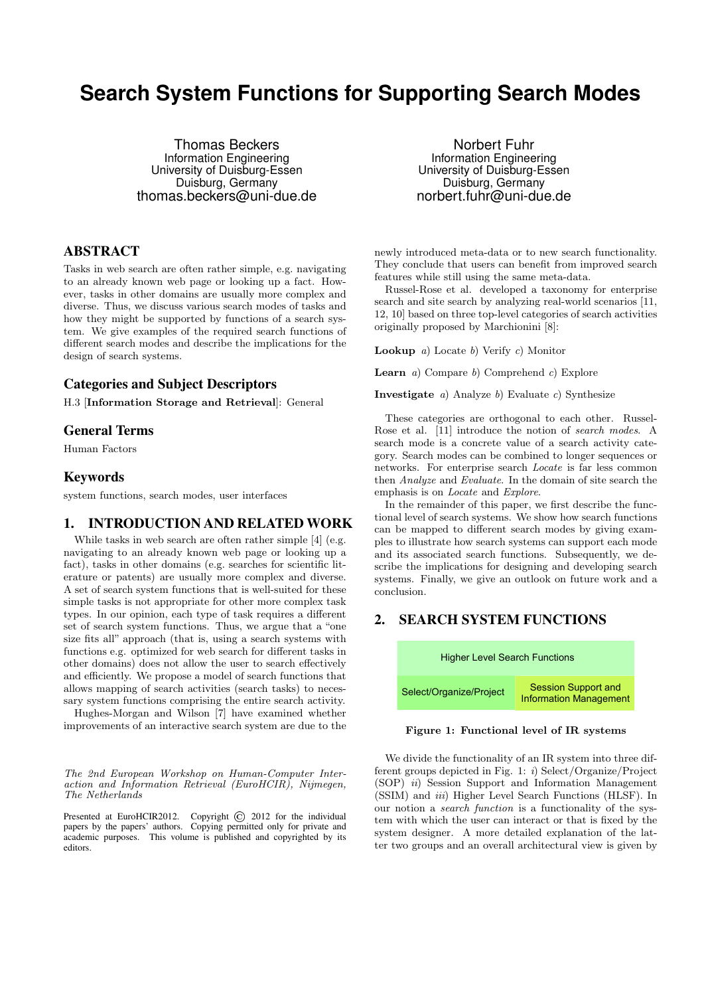# **Search System Functions for Supporting Search Modes**

Thomas Beckers Information Engineering University of Duisburg-Essen Duisburg, Germany thomas.beckers@uni-due.de

## ABSTRACT

Tasks in web search are often rather simple, e.g. navigating to an already known web page or looking up a fact. However, tasks in other domains are usually more complex and diverse. Thus, we discuss various search modes of tasks and how they might be supported by functions of a search system. We give examples of the required search functions of different search modes and describe the implications for the design of search systems.

#### Categories and Subject Descriptors

H.3 [Information Storage and Retrieval]: General

## General Terms

Human Factors

#### Keywords

system functions, search modes, user interfaces

## 1. INTRODUCTION AND RELATED WORK

While tasks in web search are often rather simple [4] (e.g. navigating to an already known web page or looking up a fact), tasks in other domains (e.g. searches for scientific literature or patents) are usually more complex and diverse. A set of search system functions that is well-suited for these simple tasks is not appropriate for other more complex task types. In our opinion, each type of task requires a different set of search system functions. Thus, we argue that a "one size fits all" approach (that is, using a search systems with functions e.g. optimized for web search for different tasks in other domains) does not allow the user to search effectively and efficiently. We propose a model of search functions that allows mapping of search activities (search tasks) to necessary system functions comprising the entire search activity.

Hughes-Morgan and Wilson [7] have examined whether improvements of an interactive search system are due to the

The 2nd European Workshop on Human-Computer Interaction and Information Retrieval (EuroHCIR), Nijmegen, The Netherlands

Presented at EuroHCIR2012. Copyright © 2012 for the individual papers by the papers' authors. Copying permitted only for private and academic purposes. This volume is published and copyrighted by its editors.

Norbert Fuhr Information Engineering University of Duisburg-Essen Duisburg, Germany norbert.fuhr@uni-due.de

newly introduced meta-data or to new search functionality. They conclude that users can benefit from improved search features while still using the same meta-data.

Russel-Rose et al. developed a taxonomy for enterprise search and site search by analyzing real-world scenarios [11, 12, 10] based on three top-level categories of search activities originally proposed by Marchionini [8]:

**Lookup** a) Locate b) Verify c) Monitor

**Learn** a) Compare b) Comprehend c) Explore

**Investigate** a) Analyze b) Evaluate c) Synthesize

These categories are orthogonal to each other. Russel-Rose et al. [11] introduce the notion of search modes. A search mode is a concrete value of a search activity category. Search modes can be combined to longer sequences or networks. For enterprise search Locate is far less common then Analyze and Evaluate. In the domain of site search the emphasis is on Locate and Explore.

In the remainder of this paper, we first describe the functional level of search systems. We show how search functions can be mapped to different search modes by giving examples to illustrate how search systems can support each mode and its associated search functions. Subsequently, we describe the implications for designing and developing search systems. Finally, we give an outlook on future work and a conclusion.

# 2. SEARCH SYSTEM FUNCTIONS



Figure 1: Functional level of IR systems

We divide the functionality of an IR system into three different groups depicted in Fig. 1: i) Select/Organize/Project (SOP) ii) Session Support and Information Management (SSIM) and *iii*) Higher Level Search Functions (HLSF). In our notion a search function is a functionality of the system with which the user can interact or that is fixed by the system designer. A more detailed explanation of the latter two groups and an overall architectural view is given by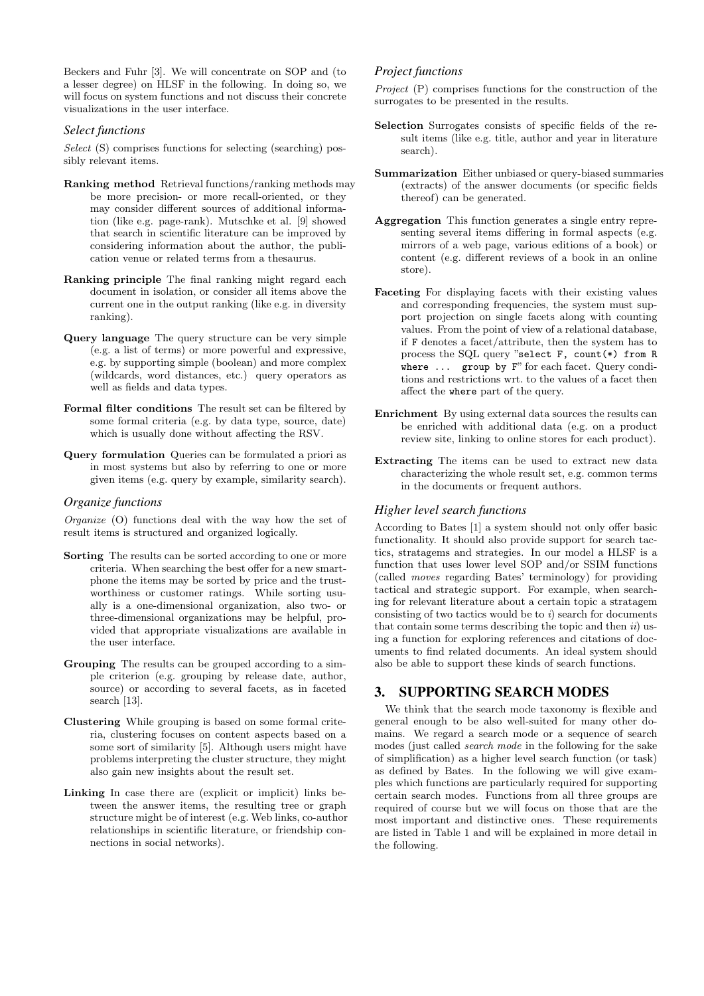Beckers and Fuhr [3]. We will concentrate on SOP and (to a lesser degree) on HLSF in the following. In doing so, we will focus on system functions and not discuss their concrete visualizations in the user interface.

#### *Select functions*

Select (S) comprises functions for selecting (searching) possibly relevant items.

- Ranking method Retrieval functions/ranking methods may be more precision- or more recall-oriented, or they may consider different sources of additional information (like e.g. page-rank). Mutschke et al. [9] showed that search in scientific literature can be improved by considering information about the author, the publication venue or related terms from a thesaurus.
- Ranking principle The final ranking might regard each document in isolation, or consider all items above the current one in the output ranking (like e.g. in diversity ranking).
- Query language The query structure can be very simple (e.g. a list of terms) or more powerful and expressive, e.g. by supporting simple (boolean) and more complex (wildcards, word distances, etc.) query operators as well as fields and data types.
- Formal filter conditions The result set can be filtered by some formal criteria (e.g. by data type, source, date) which is usually done without affecting the RSV.
- Query formulation Queries can be formulated a priori as in most systems but also by referring to one or more given items (e.g. query by example, similarity search).

#### *Organize functions*

Organize (O) functions deal with the way how the set of result items is structured and organized logically.

- Sorting The results can be sorted according to one or more criteria. When searching the best offer for a new smartphone the items may be sorted by price and the trustworthiness or customer ratings. While sorting usually is a one-dimensional organization, also two- or three-dimensional organizations may be helpful, provided that appropriate visualizations are available in the user interface.
- Grouping The results can be grouped according to a simple criterion (e.g. grouping by release date, author, source) or according to several facets, as in faceted search [13].
- Clustering While grouping is based on some formal criteria, clustering focuses on content aspects based on a some sort of similarity [5]. Although users might have problems interpreting the cluster structure, they might also gain new insights about the result set.
- Linking In case there are (explicit or implicit) links between the answer items, the resulting tree or graph structure might be of interest (e.g. Web links, co-author relationships in scientific literature, or friendship connections in social networks).

#### *Project functions*

Project (P) comprises functions for the construction of the surrogates to be presented in the results.

- Selection Surrogates consists of specific fields of the result items (like e.g. title, author and year in literature search).
- Summarization Either unbiased or query-biased summaries (extracts) of the answer documents (or specific fields thereof) can be generated.
- Aggregation This function generates a single entry representing several items differing in formal aspects (e.g. mirrors of a web page, various editions of a book) or content (e.g. different reviews of a book in an online store).
- Faceting For displaying facets with their existing values and corresponding frequencies, the system must support projection on single facets along with counting values. From the point of view of a relational database, if F denotes a facet/attribute, then the system has to process the SQL query "select F, count(\*) from R where ... group by F" for each facet. Query conditions and restrictions wrt. to the values of a facet then affect the where part of the query.
- Enrichment By using external data sources the results can be enriched with additional data (e.g. on a product review site, linking to online stores for each product).
- Extracting The items can be used to extract new data characterizing the whole result set, e.g. common terms in the documents or frequent authors.

#### *Higher level search functions*

According to Bates [1] a system should not only offer basic functionality. It should also provide support for search tactics, stratagems and strategies. In our model a HLSF is a function that uses lower level SOP and/or SSIM functions (called moves regarding Bates' terminology) for providing tactical and strategic support. For example, when searching for relevant literature about a certain topic a stratagem consisting of two tactics would be to  $i$ ) search for documents that contain some terms describing the topic and then  $ii$ ) using a function for exploring references and citations of documents to find related documents. An ideal system should also be able to support these kinds of search functions.

### 3. SUPPORTING SEARCH MODES

We think that the search mode taxonomy is flexible and general enough to be also well-suited for many other domains. We regard a search mode or a sequence of search modes (just called *search mode* in the following for the sake of simplification) as a higher level search function (or task) as defined by Bates. In the following we will give examples which functions are particularly required for supporting certain search modes. Functions from all three groups are required of course but we will focus on those that are the most important and distinctive ones. These requirements are listed in Table 1 and will be explained in more detail in the following.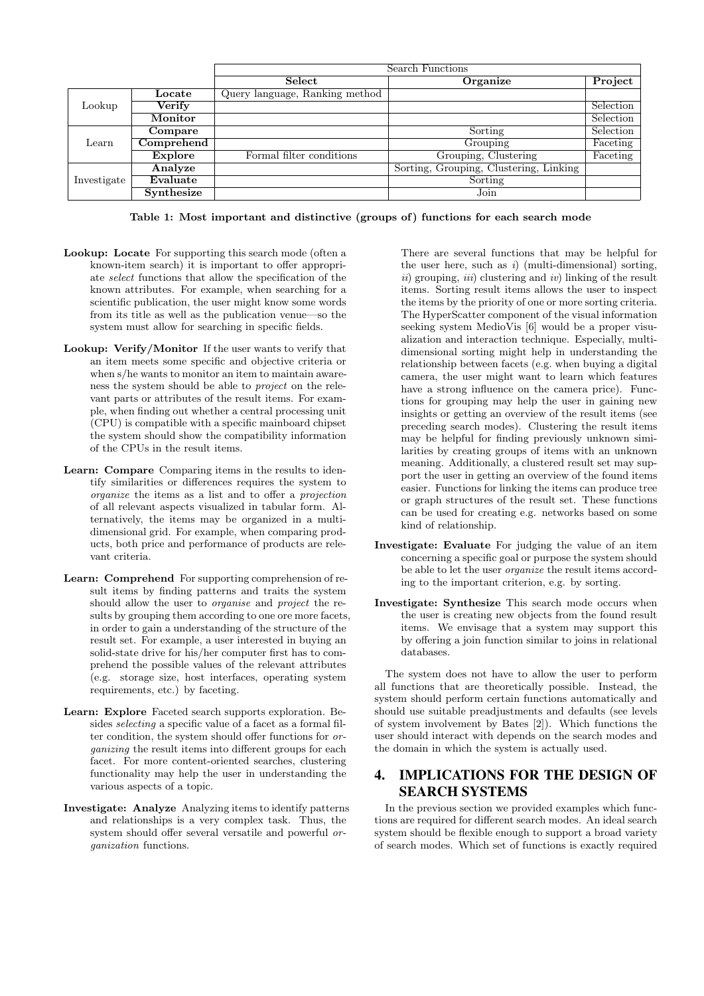|             |                | Search Functions               |                                        |           |
|-------------|----------------|--------------------------------|----------------------------------------|-----------|
|             |                | Select                         | Organize                               | Project   |
| Lookup      | Locate         | Query language, Ranking method |                                        |           |
|             | Verify         |                                |                                        | Selection |
|             | Monitor        |                                |                                        | Selection |
| Learn       | Compare        |                                | Sorting                                | Selection |
|             | Comprehend     |                                | Grouping                               | Faceting  |
|             | <b>Explore</b> | Formal filter conditions       | Grouping, Clustering                   | Faceting  |
| Investigate | Analyze        |                                | Sorting, Grouping, Clustering, Linking |           |
|             | Evaluate       |                                | Sorting                                |           |
|             | Synthesize     |                                | Join                                   |           |

Table 1: Most important and distinctive (groups of) functions for each search mode

- Lookup: Locate For supporting this search mode (often a known-item search) it is important to offer appropriate select functions that allow the specification of the known attributes. For example, when searching for a scientific publication, the user might know some words from its title as well as the publication venue—so the system must allow for searching in specific fields.
- Lookup: Verify/Monitor If the user wants to verify that an item meets some specific and objective criteria or when s/he wants to monitor an item to maintain awareness the system should be able to project on the relevant parts or attributes of the result items. For example, when finding out whether a central processing unit (CPU) is compatible with a specific mainboard chipset the system should show the compatibility information of the CPUs in the result items.
- Learn: Compare Comparing items in the results to identify similarities or differences requires the system to organize the items as a list and to offer a projection of all relevant aspects visualized in tabular form. Alternatively, the items may be organized in a multidimensional grid. For example, when comparing products, both price and performance of products are relevant criteria.
- Learn: Comprehend For supporting comprehension of result items by finding patterns and traits the system should allow the user to organise and project the results by grouping them according to one ore more facets, in order to gain a understanding of the structure of the result set. For example, a user interested in buying an solid-state drive for his/her computer first has to comprehend the possible values of the relevant attributes (e.g. storage size, host interfaces, operating system requirements, etc.) by faceting.
- Learn: Explore Faceted search supports exploration. Besides selecting a specific value of a facet as a formal filter condition, the system should offer functions for organizing the result items into different groups for each facet. For more content-oriented searches, clustering functionality may help the user in understanding the various aspects of a topic.
- Investigate: Analyze Analyzing items to identify patterns and relationships is a very complex task. Thus, the system should offer several versatile and powerful organization functions.

There are several functions that may be helpful for the user here, such as  $i)$  (multi-dimensional) sorting,  $ii)$  grouping,  $iii)$  clustering and  $iv)$  linking of the result items. Sorting result items allows the user to inspect the items by the priority of one or more sorting criteria. The HyperScatter component of the visual information seeking system MedioVis [6] would be a proper visualization and interaction technique. Especially, multidimensional sorting might help in understanding the relationship between facets (e.g. when buying a digital camera, the user might want to learn which features have a strong influence on the camera price). Functions for grouping may help the user in gaining new insights or getting an overview of the result items (see preceding search modes). Clustering the result items may be helpful for finding previously unknown similarities by creating groups of items with an unknown meaning. Additionally, a clustered result set may support the user in getting an overview of the found items easier. Functions for linking the items can produce tree or graph structures of the result set. These functions can be used for creating e.g. networks based on some kind of relationship.

- Investigate: Evaluate For judging the value of an item concerning a specific goal or purpose the system should be able to let the user organize the result items according to the important criterion, e.g. by sorting.
- Investigate: Synthesize This search mode occurs when the user is creating new objects from the found result items. We envisage that a system may support this by offering a join function similar to joins in relational databases.

The system does not have to allow the user to perform all functions that are theoretically possible. Instead, the system should perform certain functions automatically and should use suitable preadjustments and defaults (see levels of system involvement by Bates [2]). Which functions the user should interact with depends on the search modes and the domain in which the system is actually used.

## 4. IMPLICATIONS FOR THE DESIGN OF SEARCH SYSTEMS

In the previous section we provided examples which functions are required for different search modes. An ideal search system should be flexible enough to support a broad variety of search modes. Which set of functions is exactly required